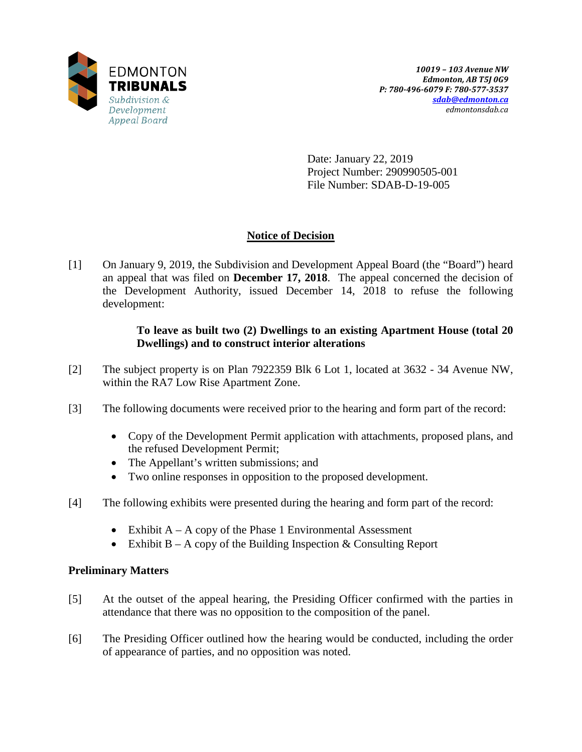

Date: January 22, 2019 Project Number: 290990505-001 File Number: SDAB-D-19-005

# **Notice of Decision**

[1] On January 9, 2019, the Subdivision and Development Appeal Board (the "Board") heard an appeal that was filed on **December 17, 2018**. The appeal concerned the decision of the Development Authority, issued December 14, 2018 to refuse the following development:

## **To leave as built two (2) Dwellings to an existing Apartment House (total 20 Dwellings) and to construct interior alterations**

- [2] The subject property is on Plan 7922359 Blk 6 Lot 1, located at 3632 34 Avenue NW, within the RA7 Low Rise Apartment Zone.
- [3] The following documents were received prior to the hearing and form part of the record:
	- Copy of the Development Permit application with attachments, proposed plans, and the refused Development Permit;
	- The Appellant's written submissions; and
	- Two online responses in opposition to the proposed development.
- [4] The following exhibits were presented during the hearing and form part of the record:
	- Exhibit  $A A$  copy of the Phase 1 Environmental Assessment
	- Exhibit  $B A$  copy of the Building Inspection  $\&$  Consulting Report

## **Preliminary Matters**

- [5] At the outset of the appeal hearing, the Presiding Officer confirmed with the parties in attendance that there was no opposition to the composition of the panel.
- [6] The Presiding Officer outlined how the hearing would be conducted, including the order of appearance of parties, and no opposition was noted.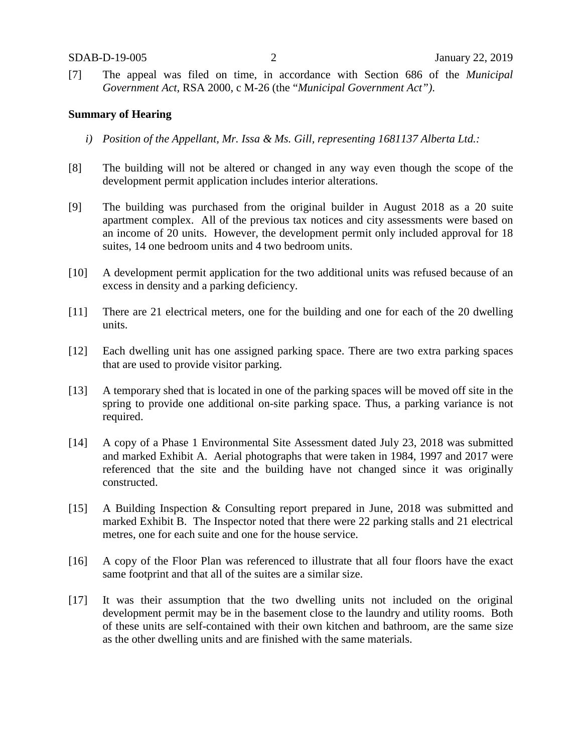[7] The appeal was filed on time, in accordance with Section 686 of the *Municipal Government Act*, RSA 2000, c M-26 (the "*Municipal Government Act")*.

### **Summary of Hearing**

- *i) Position of the Appellant, Mr. Issa & Ms. Gill, representing 1681137 Alberta Ltd.:*
- [8] The building will not be altered or changed in any way even though the scope of the development permit application includes interior alterations.
- [9] The building was purchased from the original builder in August 2018 as a 20 suite apartment complex. All of the previous tax notices and city assessments were based on an income of 20 units. However, the development permit only included approval for 18 suites, 14 one bedroom units and 4 two bedroom units.
- [10] A development permit application for the two additional units was refused because of an excess in density and a parking deficiency.
- [11] There are 21 electrical meters, one for the building and one for each of the 20 dwelling units.
- [12] Each dwelling unit has one assigned parking space. There are two extra parking spaces that are used to provide visitor parking.
- [13] A temporary shed that is located in one of the parking spaces will be moved off site in the spring to provide one additional on-site parking space. Thus, a parking variance is not required.
- [14] A copy of a Phase 1 Environmental Site Assessment dated July 23, 2018 was submitted and marked Exhibit A. Aerial photographs that were taken in 1984, 1997 and 2017 were referenced that the site and the building have not changed since it was originally constructed.
- [15] A Building Inspection & Consulting report prepared in June, 2018 was submitted and marked Exhibit B. The Inspector noted that there were 22 parking stalls and 21 electrical metres, one for each suite and one for the house service.
- [16] A copy of the Floor Plan was referenced to illustrate that all four floors have the exact same footprint and that all of the suites are a similar size.
- [17] It was their assumption that the two dwelling units not included on the original development permit may be in the basement close to the laundry and utility rooms. Both of these units are self-contained with their own kitchen and bathroom, are the same size as the other dwelling units and are finished with the same materials.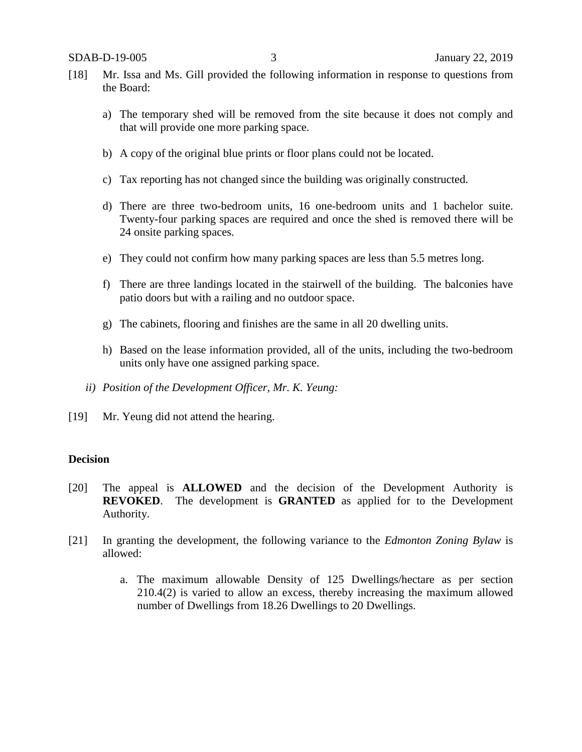- [18] Mr. Issa and Ms. Gill provided the following information in response to questions from the Board:
	- a) The temporary shed will be removed from the site because it does not comply and that will provide one more parking space.
	- b) A copy of the original blue prints or floor plans could not be located.
	- c) Tax reporting has not changed since the building was originally constructed.
	- d) There are three two-bedroom units, 16 one-bedroom units and 1 bachelor suite. Twenty-four parking spaces are required and once the shed is removed there will be 24 onsite parking spaces.
	- e) They could not confirm how many parking spaces are less than 5.5 metres long.
	- f) There are three landings located in the stairwell of the building. The balconies have patio doors but with a railing and no outdoor space.
	- g) The cabinets, flooring and finishes are the same in all 20 dwelling units.
	- h) Based on the lease information provided, all of the units, including the two-bedroom units only have one assigned parking space.
	- *ii) Position of the Development Officer, Mr. K. Yeung:*
- [19] Mr. Yeung did not attend the hearing.

#### **Decision**

- [20] The appeal is **ALLOWED** and the decision of the Development Authority is **REVOKED**. The development is **GRANTED** as applied for to the Development Authority.
- [21] In granting the development, the following variance to the *Edmonton Zoning Bylaw* is allowed:
	- a. The maximum allowable Density of 125 Dwellings/hectare as per section 210.4(2) is varied to allow an excess, thereby increasing the maximum allowed number of Dwellings from 18.26 Dwellings to 20 Dwellings.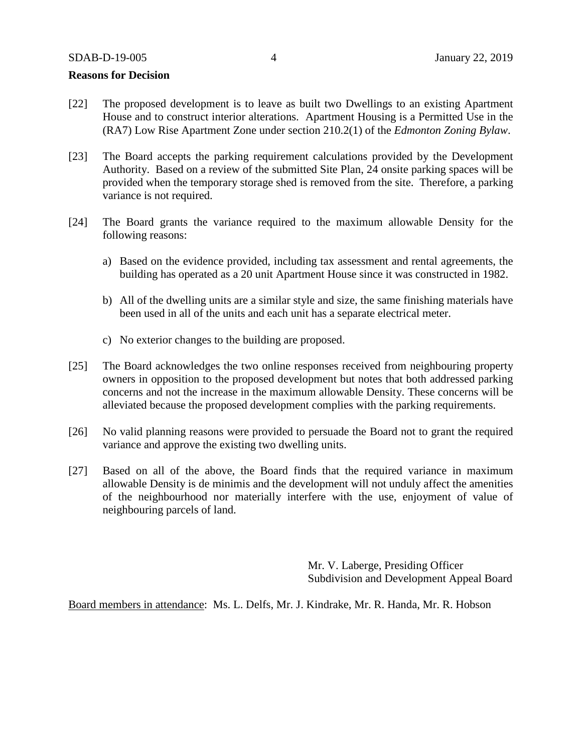### **Reasons for Decision**

- [22] The proposed development is to leave as built two Dwellings to an existing Apartment House and to construct interior alterations. Apartment Housing is a Permitted Use in the (RA7) Low Rise Apartment Zone under section 210.2(1) of the *Edmonton Zoning Bylaw*.
- [23] The Board accepts the parking requirement calculations provided by the Development Authority. Based on a review of the submitted Site Plan, 24 onsite parking spaces will be provided when the temporary storage shed is removed from the site. Therefore, a parking variance is not required.
- [24] The Board grants the variance required to the maximum allowable Density for the following reasons:
	- a) Based on the evidence provided, including tax assessment and rental agreements, the building has operated as a 20 unit Apartment House since it was constructed in 1982.
	- b) All of the dwelling units are a similar style and size, the same finishing materials have been used in all of the units and each unit has a separate electrical meter.
	- c) No exterior changes to the building are proposed.
- [25] The Board acknowledges the two online responses received from neighbouring property owners in opposition to the proposed development but notes that both addressed parking concerns and not the increase in the maximum allowable Density. These concerns will be alleviated because the proposed development complies with the parking requirements.
- [26] No valid planning reasons were provided to persuade the Board not to grant the required variance and approve the existing two dwelling units.
- [27] Based on all of the above, the Board finds that the required variance in maximum allowable Density is de minimis and the development will not unduly affect the amenities of the neighbourhood nor materially interfere with the use, enjoyment of value of neighbouring parcels of land.

Mr. V. Laberge, Presiding Officer Subdivision and Development Appeal Board

Board members in attendance: Ms. L. Delfs, Mr. J. Kindrake, Mr. R. Handa, Mr. R. Hobson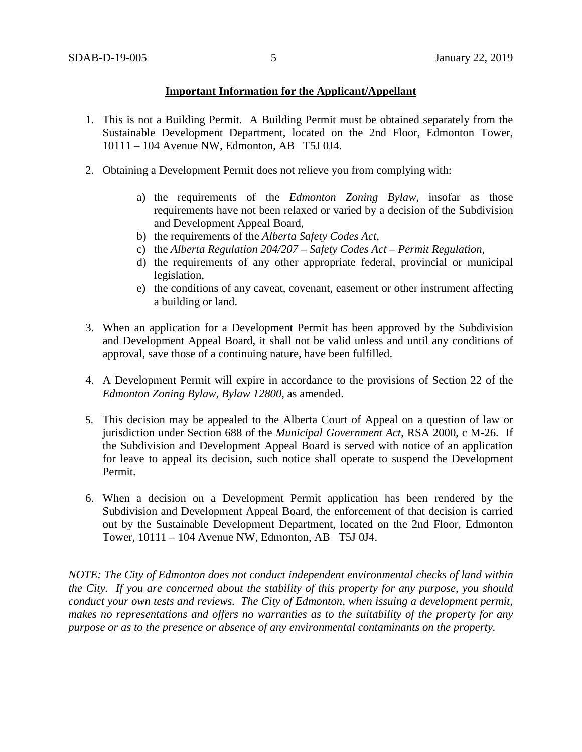### **Important Information for the Applicant/Appellant**

- 1. This is not a Building Permit. A Building Permit must be obtained separately from the Sustainable Development Department, located on the 2nd Floor, Edmonton Tower, 10111 – 104 Avenue NW, Edmonton, AB T5J 0J4.
- 2. Obtaining a Development Permit does not relieve you from complying with:
	- a) the requirements of the *Edmonton Zoning Bylaw*, insofar as those requirements have not been relaxed or varied by a decision of the Subdivision and Development Appeal Board,
	- b) the requirements of the *Alberta Safety Codes Act*,
	- c) the *Alberta Regulation 204/207 – Safety Codes Act – Permit Regulation*,
	- d) the requirements of any other appropriate federal, provincial or municipal legislation,
	- e) the conditions of any caveat, covenant, easement or other instrument affecting a building or land.
- 3. When an application for a Development Permit has been approved by the Subdivision and Development Appeal Board, it shall not be valid unless and until any conditions of approval, save those of a continuing nature, have been fulfilled.
- 4. A Development Permit will expire in accordance to the provisions of Section 22 of the *Edmonton Zoning Bylaw, Bylaw 12800*, as amended.
- 5. This decision may be appealed to the Alberta Court of Appeal on a question of law or jurisdiction under Section 688 of the *Municipal Government Act*, RSA 2000, c M-26. If the Subdivision and Development Appeal Board is served with notice of an application for leave to appeal its decision, such notice shall operate to suspend the Development Permit.
- 6. When a decision on a Development Permit application has been rendered by the Subdivision and Development Appeal Board, the enforcement of that decision is carried out by the Sustainable Development Department, located on the 2nd Floor, Edmonton Tower, 10111 – 104 Avenue NW, Edmonton, AB T5J 0J4.

*NOTE: The City of Edmonton does not conduct independent environmental checks of land within the City. If you are concerned about the stability of this property for any purpose, you should conduct your own tests and reviews. The City of Edmonton, when issuing a development permit, makes no representations and offers no warranties as to the suitability of the property for any purpose or as to the presence or absence of any environmental contaminants on the property.*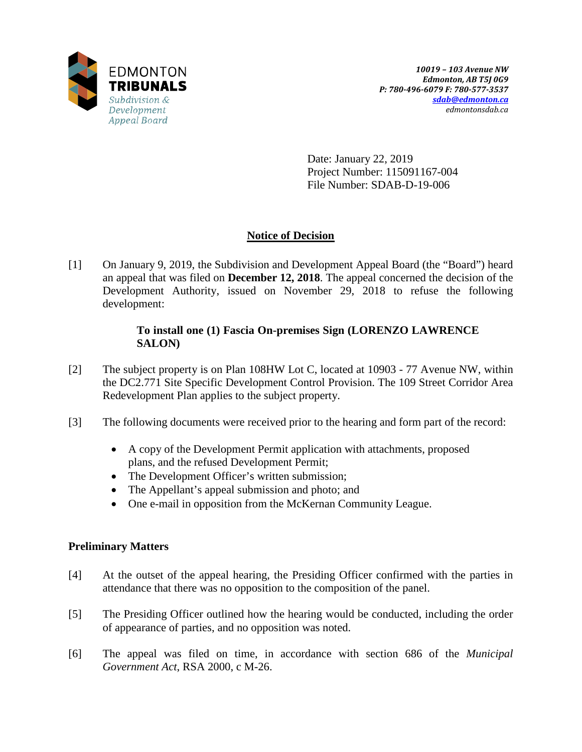

Date: January 22, 2019 Project Number: 115091167-004 File Number: SDAB-D-19-006

# **Notice of Decision**

[1] On January 9, 2019, the Subdivision and Development Appeal Board (the "Board") heard an appeal that was filed on **December 12, 2018**. The appeal concerned the decision of the Development Authority, issued on November 29, 2018 to refuse the following development:

### **To install one (1) Fascia On-premises Sign (LORENZO LAWRENCE SALON)**

- [2] The subject property is on Plan 108HW Lot C, located at 10903 77 Avenue NW, within the DC2.771 Site Specific Development Control Provision. The 109 Street Corridor Area Redevelopment Plan applies to the subject property.
- [3] The following documents were received prior to the hearing and form part of the record:
	- A copy of the Development Permit application with attachments, proposed plans, and the refused Development Permit;
	- The Development Officer's written submission;
	- The Appellant's appeal submission and photo; and
	- One e-mail in opposition from the McKernan Community League.

## **Preliminary Matters**

- [4] At the outset of the appeal hearing, the Presiding Officer confirmed with the parties in attendance that there was no opposition to the composition of the panel.
- [5] The Presiding Officer outlined how the hearing would be conducted, including the order of appearance of parties, and no opposition was noted.
- [6] The appeal was filed on time, in accordance with section 686 of the *Municipal Government Act*, RSA 2000, c M-26.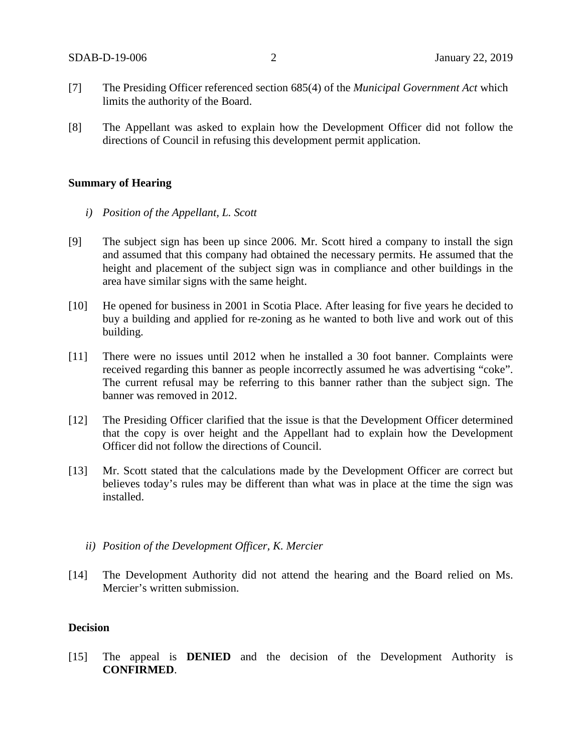- [7] The Presiding Officer referenced section 685(4) of the *Municipal Government Act* which limits the authority of the Board.
- [8] The Appellant was asked to explain how the Development Officer did not follow the directions of Council in refusing this development permit application.

### **Summary of Hearing**

- *i) Position of the Appellant, L. Scott*
- [9] The subject sign has been up since 2006. Mr. Scott hired a company to install the sign and assumed that this company had obtained the necessary permits. He assumed that the height and placement of the subject sign was in compliance and other buildings in the area have similar signs with the same height.
- [10] He opened for business in 2001 in Scotia Place. After leasing for five years he decided to buy a building and applied for re-zoning as he wanted to both live and work out of this building.
- [11] There were no issues until 2012 when he installed a 30 foot banner. Complaints were received regarding this banner as people incorrectly assumed he was advertising "coke". The current refusal may be referring to this banner rather than the subject sign. The banner was removed in 2012.
- [12] The Presiding Officer clarified that the issue is that the Development Officer determined that the copy is over height and the Appellant had to explain how the Development Officer did not follow the directions of Council.
- [13] Mr. Scott stated that the calculations made by the Development Officer are correct but believes today's rules may be different than what was in place at the time the sign was installed.
	- *ii) Position of the Development Officer, K. Mercier*
- [14] The Development Authority did not attend the hearing and the Board relied on Ms. Mercier's written submission.

### **Decision**

[15] The appeal is **DENIED** and the decision of the Development Authority is **CONFIRMED**.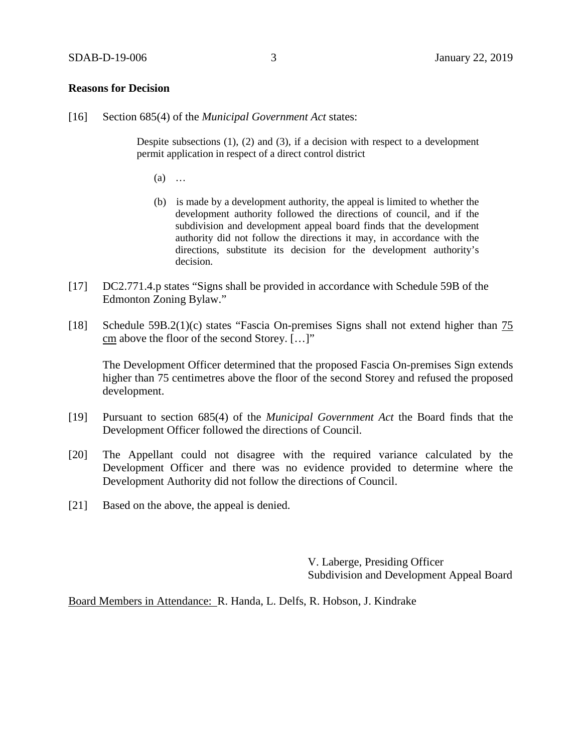### **Reasons for Decision**

[16] Section 685(4) of the *Municipal Government Act* states:

Despite subsections (1), (2) and (3), if a decision with respect to a development permit application in respect of a direct control district

- (a) …
- (b) is made by a development authority, the appeal is limited to whether the development authority followed the directions of council, and if the subdivision and development appeal board finds that the development authority did not follow the directions it may, in accordance with the directions, substitute its decision for the development authority's decision.
- [17] DC2.771.4.p states "Signs shall be provided in accordance with Schedule 59B of the Edmonton Zoning Bylaw."
- [18] Schedule 59B.2(1)(c) states "Fascia On-premises Signs shall not extend higher than 75 cm above the floor of the second Storey. […]"

The Development Officer determined that the proposed Fascia On-premises Sign extends higher than 75 centimetres above the floor of the second Storey and refused the proposed development.

- [19] Pursuant to section 685(4) of the *Municipal Government Act* the Board finds that the Development Officer followed the directions of Council.
- [20] The Appellant could not disagree with the required variance calculated by the Development Officer and there was no evidence provided to determine where the Development Authority did not follow the directions of Council.
- [21] Based on the above, the appeal is denied.

V. Laberge, Presiding Officer Subdivision and Development Appeal Board

Board Members in Attendance: R. Handa, L. Delfs, R. Hobson, J. Kindrake